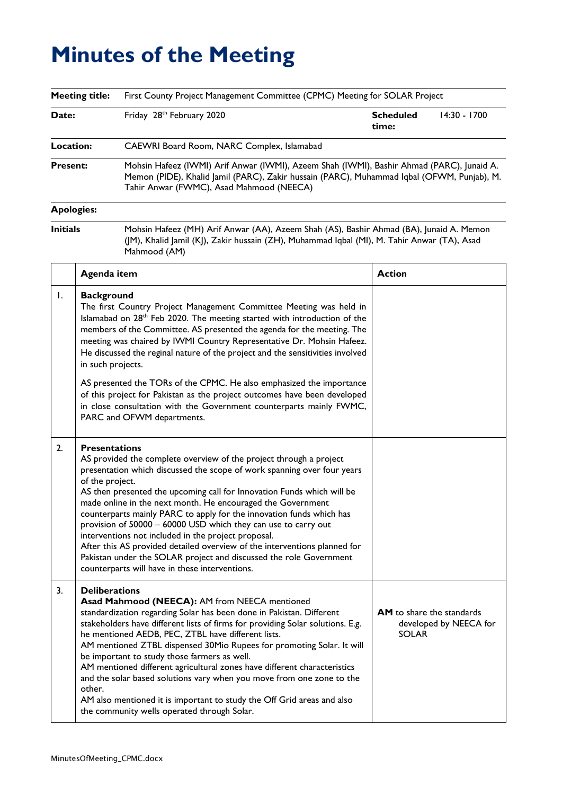## **Minutes of the Meeting**

| <b>Meeting title:</b> |                                         | First County Project Management Committee (CPMC) Meeting for SOLAR Project                                                                                                                                                                                                                                                                                                                                                                                                                                                                                                                                                                                                                   |                                                  |                        |  |  |  |
|-----------------------|-----------------------------------------|----------------------------------------------------------------------------------------------------------------------------------------------------------------------------------------------------------------------------------------------------------------------------------------------------------------------------------------------------------------------------------------------------------------------------------------------------------------------------------------------------------------------------------------------------------------------------------------------------------------------------------------------------------------------------------------------|--------------------------------------------------|------------------------|--|--|--|
| Date:                 |                                         | Friday 28th February 2020                                                                                                                                                                                                                                                                                                                                                                                                                                                                                                                                                                                                                                                                    | <b>Scheduled</b><br>time:                        | 14:30 - 1700           |  |  |  |
| Location:             |                                         | CAEWRI Board Room, NARC Complex, Islamabad                                                                                                                                                                                                                                                                                                                                                                                                                                                                                                                                                                                                                                                   |                                                  |                        |  |  |  |
| <b>Present:</b>       |                                         | Mohsin Hafeez (IWMI) Arif Anwar (IWMI), Azeem Shah (IWMI), Bashir Ahmad (PARC), Junaid A.<br>Memon (PIDE), Khalid Jamil (PARC), Zakir hussain (PARC), Muhammad Iqbal (OFWM, Punjab), M.<br>Tahir Anwar (FWMC), Asad Mahmood (NEECA)                                                                                                                                                                                                                                                                                                                                                                                                                                                          |                                                  |                        |  |  |  |
| <b>Apologies:</b>     |                                         |                                                                                                                                                                                                                                                                                                                                                                                                                                                                                                                                                                                                                                                                                              |                                                  |                        |  |  |  |
| <b>Initials</b>       |                                         | Mohsin Hafeez (MH) Arif Anwar (AA), Azeem Shah (AS), Bashir Ahmad (BA), Junaid A. Memon<br>(JM), Khalid Jamil (KJ), Zakir hussain (ZH), Muhammad Iqbal (MI), M. Tahir Anwar (TA), Asad<br>Mahmood (AM)                                                                                                                                                                                                                                                                                                                                                                                                                                                                                       |                                                  |                        |  |  |  |
|                       | Agenda item                             |                                                                                                                                                                                                                                                                                                                                                                                                                                                                                                                                                                                                                                                                                              | <b>Action</b>                                    |                        |  |  |  |
| I.                    | <b>Background</b><br>in such projects.  | The first Country Project Management Committee Meeting was held in<br>Islamabad on 28 <sup>th</sup> Feb 2020. The meeting started with introduction of the<br>members of the Committee. AS presented the agenda for the meeting. The<br>meeting was chaired by IWMI Country Representative Dr. Mohsin Hafeez.<br>He discussed the reginal nature of the project and the sensitivities involved<br>AS presented the TORs of the CPMC. He also emphasized the importance<br>of this project for Pakistan as the project outcomes have been developed<br>in close consultation with the Government counterparts mainly FWMC,<br>PARC and OFWM departments.                                      |                                                  |                        |  |  |  |
| 2.                    | <b>Presentations</b><br>of the project. | AS provided the complete overview of the project through a project<br>presentation which discussed the scope of work spanning over four years<br>AS then presented the upcoming call for Innovation Funds which will be<br>made online in the next month. He encouraged the Government<br>counterparts mainly PARC to apply for the innovation funds which has<br>provision of 50000 - 60000 USD which they can use to carry out<br>interventions not included in the project proposal.<br>After this AS provided detailed overview of the interventions planned for<br>Pakistan under the SOLAR project and discussed the role Government<br>counterparts will have in these interventions. |                                                  |                        |  |  |  |
| 3.                    | <b>Deliberations</b><br>other.          | Asad Mahmood (NEECA): AM from NEECA mentioned<br>standardization regarding Solar has been done in Pakistan. Different<br>stakeholders have different lists of firms for providing Solar solutions. E.g.<br>he mentioned AEDB, PEC, ZTBL have different lists.<br>AM mentioned ZTBL dispensed 30Mio Rupees for promoting Solar. It will<br>be important to study those farmers as well.<br>AM mentioned different agricultural zones have different characteristics<br>and the solar based solutions vary when you move from one zone to the<br>AM also mentioned it is important to study the Off Grid areas and also<br>the community wells operated through Solar.                         | <b>AM</b> to share the standards<br><b>SOLAR</b> | developed by NEECA for |  |  |  |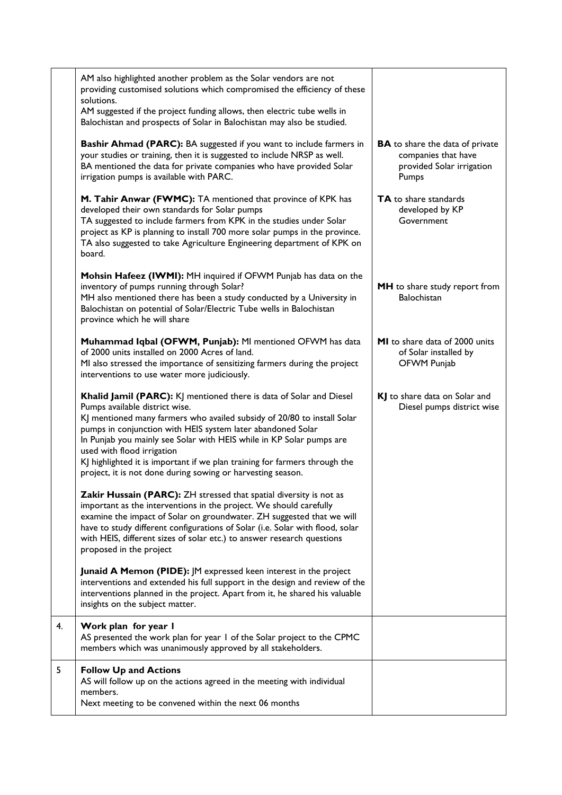|    | AM also highlighted another problem as the Solar vendors are not<br>providing customised solutions which compromised the efficiency of these<br>solutions.<br>AM suggested if the project funding allows, then electric tube wells in<br>Balochistan and prospects of Solar in Balochistan may also be studied.                                                                                                                                                                                    |                                                                                                     |  |
|----|----------------------------------------------------------------------------------------------------------------------------------------------------------------------------------------------------------------------------------------------------------------------------------------------------------------------------------------------------------------------------------------------------------------------------------------------------------------------------------------------------|-----------------------------------------------------------------------------------------------------|--|
|    | Bashir Ahmad (PARC): BA suggested if you want to include farmers in<br>your studies or training, then it is suggested to include NRSP as well.<br>BA mentioned the data for private companies who have provided Solar<br>irrigation pumps is available with PARC.                                                                                                                                                                                                                                  | <b>BA</b> to share the data of private<br>companies that have<br>provided Solar irrigation<br>Pumps |  |
|    | M. Tahir Anwar (FWMC): TA mentioned that province of KPK has<br>developed their own standards for Solar pumps<br>TA suggested to include farmers from KPK in the studies under Solar<br>project as KP is planning to install 700 more solar pumps in the province.<br>TA also suggested to take Agriculture Engineering department of KPK on<br>board.                                                                                                                                             | <b>TA</b> to share standards<br>developed by KP<br>Government                                       |  |
|    | Mohsin Hafeez (IWMI): MH inquired if OFWM Punjab has data on the<br>inventory of pumps running through Solar?<br>MH also mentioned there has been a study conducted by a University in<br>Balochistan on potential of Solar/Electric Tube wells in Balochistan<br>province which he will share                                                                                                                                                                                                     | MH to share study report from<br><b>Balochistan</b>                                                 |  |
|    | Muhammad Iqbal (OFWM, Punjab): MI mentioned OFWM has data<br>of 2000 units installed on 2000 Acres of land.<br>MI also stressed the importance of sensitizing farmers during the project<br>interventions to use water more judiciously.                                                                                                                                                                                                                                                           | <b>MI</b> to share data of 2000 units<br>of Solar installed by<br>OFWM Punjab                       |  |
|    | Khalid Jamil (PARC): KJ mentioned there is data of Solar and Diesel<br>Pumps available district wise.<br>KJ mentioned many farmers who availed subsidy of 20/80 to install Solar<br>pumps in conjunction with HEIS system later abandoned Solar<br>In Punjab you mainly see Solar with HEIS while in KP Solar pumps are<br>used with flood irrigation<br>KJ highlighted it is important if we plan training for farmers through the<br>project, it is not done during sowing or harvesting season. | KJ to share data on Solar and<br>Diesel pumps district wise                                         |  |
|    | Zakir Hussain (PARC): ZH stressed that spatial diversity is not as<br>important as the interventions in the project. We should carefully<br>examine the impact of Solar on groundwater. ZH suggested that we will<br>have to study different configurations of Solar (i.e. Solar with flood, solar<br>with HEIS, different sizes of solar etc.) to answer research questions<br>proposed in the project                                                                                            |                                                                                                     |  |
|    | <b>Junaid A Memon (PIDE):</b> JM expressed keen interest in the project<br>interventions and extended his full support in the design and review of the<br>interventions planned in the project. Apart from it, he shared his valuable<br>insights on the subject matter.                                                                                                                                                                                                                           |                                                                                                     |  |
| 4. | Work plan for year I<br>AS presented the work plan for year I of the Solar project to the CPMC<br>members which was unanimously approved by all stakeholders.                                                                                                                                                                                                                                                                                                                                      |                                                                                                     |  |
| 5  | <b>Follow Up and Actions</b><br>AS will follow up on the actions agreed in the meeting with individual<br>members.<br>Next meeting to be convened within the next 06 months                                                                                                                                                                                                                                                                                                                        |                                                                                                     |  |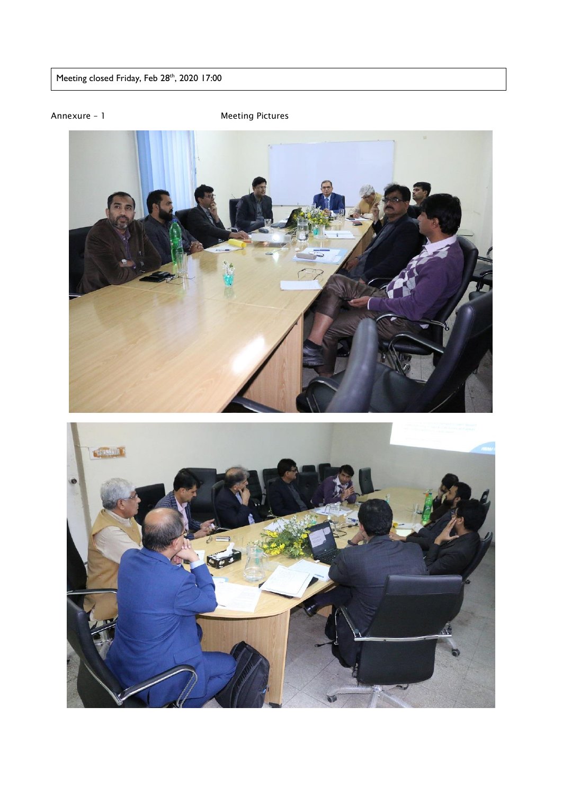Meeting closed Friday, Feb 28th, 2020 17:00

Annexure – 1 Meeting Pictures